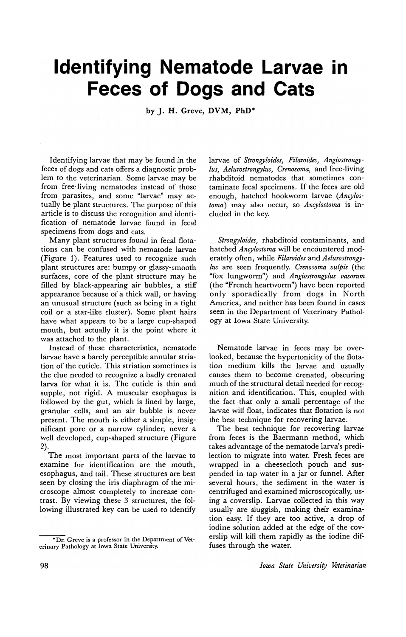## **Identifying Nematode Larvae in Feces of Dogs and Cats**

by J. H. Greve, DVM, PhD·

Identifying larvae that may be found in the feces of dogs and cats offers a diagnostic problem to the veterinarian. Some larvae may be from free-living nematodes instead of those from parasites, and some "larvae" may actually be plant structures. The purpose of this article is to discuss the recognition and identification of nematode larvae found in fecal specimens from dogs and cats.

Many plant structures found in fecal flotations can be confused with nematode larvae (Figure 1). Features used to recognize such plant structures are: bumpy or glassy-smooth surfaces, core of the plant structure may be filled by black-appearing air bubbles, a stiff appearance because of a thick wall, or having an unusual structure (such as being in a tight coil or a star-like cluster). Some plant hairs have what appears to be a large cup-shaped mouth, but actually it is the point where it was attached to the plant.

Instead of these characteristics, nematode larvae have a barely perceptible annular striation of the cuticle. This striation sometimes is the clue needed to recognize a badly crenated larva for what it is. The cuticle is thin and supple, not rigid. A muscular esophagus is followed by the gut, which is lined by large, granular cells, and an air bubble is never present. The mouth is either a simple, insignificant pore or a narrow cylinder, never a well developed, cup-shaped structure (Figure 2).

The most important parts of the larvae to examine for identification are the mouth, esophagus, and tail. These structures are best seen by closing the iris diaphragm of the microscope almost completely to increase contrast. By viewing these 3 structures, the following illustrated key can be used to identify

larvae of *Strongyloides, Filaroides, Angiostrongy-Ius, Aelurostrongylus, Crenosoma,* and free-living rhabditoid nematodes that sometimes contaminate fecal specimens. If the feces are old enough, hatched hookworm larvae *(Ancylostoma)* may also occur, so *Ancylostoma* is included in the key.

*Strongyloides,* rhabditoid contaminants, and hatched *Ancylostoma* will be encountered moderately often, while *Filaroides* and *Aelurostrongy-Ius* are seen frequently. *Crenosoma vulpis* (the "fox lungworm") and *Angiostrongylus vasorum*  (the "French heartworm") have been reported only sporadically from dogs in North America, and neither has been found in cases seen in the Department of Veterinary Pathology at Iowa State University.

Nematode larvae in feces may be overlooked, because the hypertonicity of the flotation medium kills the larvae and usually causes them to become crenated, obscuring much of the structural detail needed for recognition and identification. This, coupled with the fact· that only a small percentage of the larvae will float, indicates that flotation is not the best technique for recovering larvae.

The best technique for recovering larvae from feces is the Baermann method, which takes advantage of the nematode larva's predilection to migrate into water. Fresh feces are wrapped in a cheesecloth pouch and suspended in tap water in a jar or funnel. After several hours, the sediment in the water is centrifuged and examined microscopically, using a coverslip. Larvae collected in this way usually are sluggish, making their examination easy. If they are too active, a drop of iodine solution added at the edge of the coverslip will kill them rapidly as the iodine diffuses through the water.

<sup>·</sup>Dr. Greve is a professor in the Department of Veterinary Pathology at Iowa State University.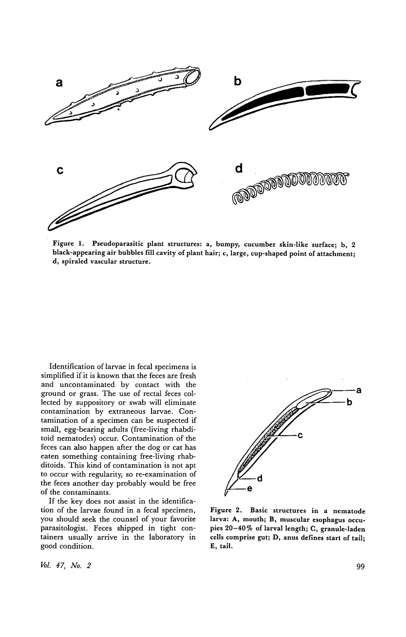

Figure 1. Pseudoparasitic plant structures: a, bumpy, cucumber skin-like surface; b, 2 black-appearing air bubbles fill cavity of plant hair; c, large, cup-shaped point of attachment; d, spiraled vascular structure.

Identification of larvae in fecal specimens is simplified if it is known that the feces are fresh and uncontaminated by contact with the ground or grass. The use of rectal feces collected by suppository or swab will eliminate contamination by extraneous larvae. Contamination of a specimen can be suspected if small, egg-bearing adults (free-living rhabditoid nematodes) occur. Contamination of the feces can also happen after the dog or cat has eaten something containing free-living rhabditoids. This kind of contamination is not apt to occur with regularity, so re-examination of the feces another day probably would be free of the contaminants.

If the key does not assist in the identification of the larvae found in a fecal specimen, you should seek the counsel of your favorite parasitologist. Feces shipped in tight containers usually arrive in the laboratory in good condition.



Figure 2. Basic structures in a nematode larva: A, mouth; B, muscular esophagus occupies 20-40% of larval length; C, granule-laden cells comprise gut; D, anus defines start of tail; E, tail.

MIL. 47, No. 2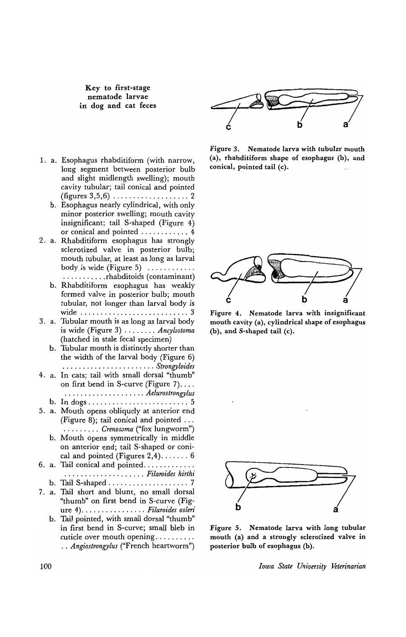Key to first-stage nematode larvae in dog and cat feces

- 1. a. Esophagus rhabditiform (with narrow, long segment between posterior bulb and slight midlength swelling); mouth cavity tubular; tail conical and pointed (figures 3,5,6) ................... 2
	- b. Esophagus nearly cylindrical, with only minor posterior swelling; mouth cavity insignificant; tail S-shaped (Figure 4) or conical and pointed ............ 4
- 2. a. Rhabditiform esophagus has strongly sclerotized valve in posterior bulb; mouth tubular, at least as long as larval body is wide (Figure 5)  $\dots$ ........
	- . . . . . . . . . . . rhabditoids (contaminant) b. Rhabditiform esophagus has weakly formed valve in posterior bulb; mouth tubular, not longer than larval body is wide ........................... 3
- 3. a. Tubular mouth is as long as larval body is wide (Figure 3) ........ *Ancylostoma*  (hatched in stale fecal specimen)
	- b. Tubular mouth is distinctly shorter than the width of the larval body (Figure 6) . . . . . . . . . . . . . . . . . . . . . . . *Strongyloides*
- 4. a. In cats; tail with small dorsal "thumb" on first bend in S-curve (Figure  $7$ ).... · ................... *Aelurostrongylus* 
	- b. In dogs ................. , ....... 5
- 5. a. Mouth opens obliquely at anterior end (Figure 8); tail conical and pointed ... · . . . . . . . . *Crenosoma* ("fox lungworm")
	- b. Mouth opens symmetrically in middle on anterior end; tail S-shaped or conical and pointed (Figures 2,4) ....... 6
- 6. a. Tail conical and pointed ............ . b. Tail S-shaped . . . . . . . . . . . . . . . . . . . . 7 · ................... *Filaroides hirthi*
- 7. a. Tail short and blunt, no small dorsal "thumb" on first bend in S-curve (Figure 4) ................ *Filaroides oslen'* 
	- b. Tail pointed, with small dorsal "thumb" in first bend in S-curve; small bleb in cuticle over mouth opening ......... .. *Angiostrongylus* ("French heartworm")



Figure 3. Nematode larva with tubular mouth (a), rhabditiform shape of esophagus (b), and conical, pointed tail (c).



Figure 4. Nematode larva with insignificant mouth cavity (a), cylindrical shape of esophagus (b), and S-shaped tail (c).



Figure 5. Nematode larva with long tubular mouth (a) and a strongly sclerotized valve in posterior bulb of esophagus (b).

*Iowa State University Veterinarian*